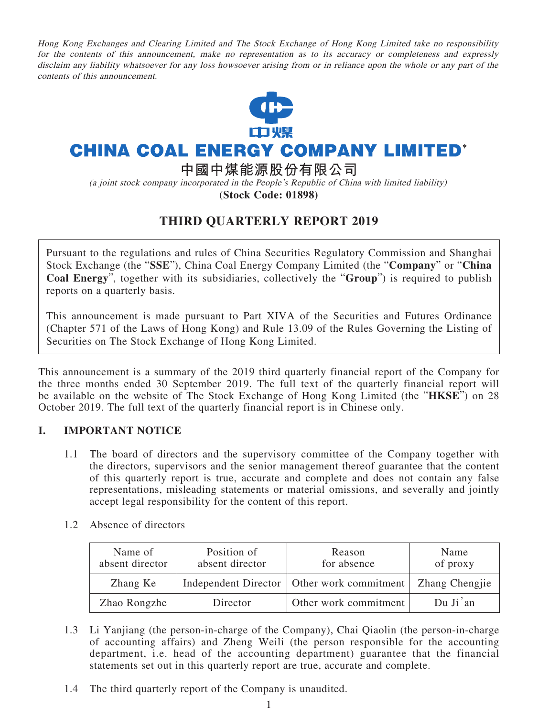Hong Kong Exchanges and Clearing Limited and The Stock Exchange of Hong Kong Limited take no responsibility for the contents of this announcement, make no representation as to its accuracy or completeness and expressly disclaim any liability whatsoever for any loss howsoever arising from or in reliance upon the whole or any part of the contents of this announcement.



# **CHINA COAL ENERGY COMPANY LIMITED\***

**中國中煤能源股份有限公司**

(a joint stock company incorporated in the People's Republic of China with limited liability) **(Stock Code: 01898)**

# **THIRD QUARTERLY REPORT 2019**

Pursuant to the regulations and rules of China Securities Regulatory Commission and Shanghai Stock Exchange (the "**SSE**"), China Coal Energy Company Limited (the "**Company**" or "**China Coal Energy**", together with its subsidiaries, collectively the "**Group**") is required to publish reports on a quarterly basis.

This announcement is made pursuant to Part XIVA of the Securities and Futures Ordinance (Chapter 571 of the Laws of Hong Kong) and Rule 13.09 of the Rules Governing the Listing of Securities on The Stock Exchange of Hong Kong Limited.

This announcement is a summary of the 2019 third quarterly financial report of the Company for the three months ended 30 September 2019. The full text of the quarterly financial report will be available on the website of The Stock Exchange of Hong Kong Limited (the "**HKSE**") on 28 October 2019. The full text of the quarterly financial report is in Chinese only.

### **I. IMPORTANT NOTICE**

1.1 The board of directors and the supervisory committee of the Company together with the directors, supervisors and the senior management thereof guarantee that the content of this quarterly report is true, accurate and complete and does not contain any false representations, misleading statements or material omissions, and severally and jointly accept legal responsibility for the content of this report.

| Name of<br>absent director | Position of<br>absent director | Reason<br>for absence                        | Name<br>of proxy      |
|----------------------------|--------------------------------|----------------------------------------------|-----------------------|
| Zhang Ke                   |                                | Independent Director   Other work commitment | <b>Zhang Chengjie</b> |
| Zhao Rongzhe               | Director                       | Other work commitment                        | Du Ji'an              |

1.2 Absence of directors

- 1.3 Li Yanjiang (the person-in-charge of the Company), Chai Qiaolin (the person-in-charge of accounting affairs) and Zheng Weili (the person responsible for the accounting department, i.e. head of the accounting department) guarantee that the financial statements set out in this quarterly report are true, accurate and complete.
- 1.4 The third quarterly report of the Company is unaudited.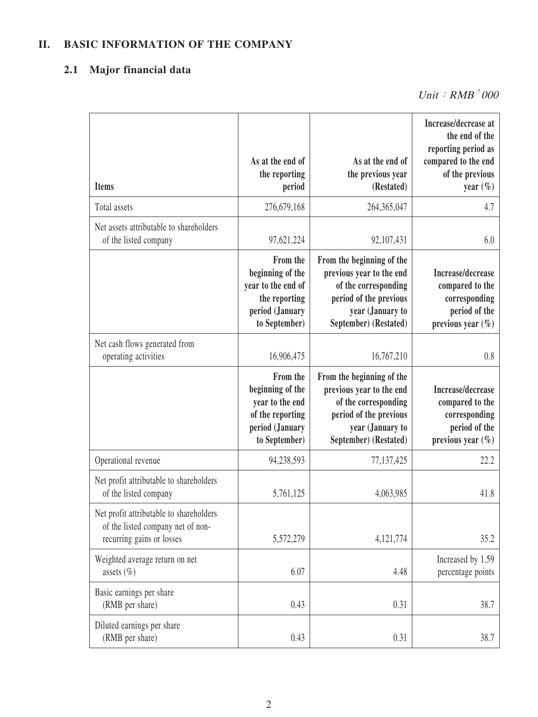# **II. BASIC INFORMATION OF THE COMPANY**

# **2.1 Major financial data**

| <b>Items</b>                                                                                              | As at the end of<br>the reporting<br>period                                                             | As at the end of<br>the previous year<br>(Restated)                                                                                                  | Increase/decrease at<br>the end of the<br>reporting period as<br>compared to the end<br>of the previous<br>year $(\%)$ |
|-----------------------------------------------------------------------------------------------------------|---------------------------------------------------------------------------------------------------------|------------------------------------------------------------------------------------------------------------------------------------------------------|------------------------------------------------------------------------------------------------------------------------|
| Total assets                                                                                              | 276,679,168                                                                                             | 264, 365, 047                                                                                                                                        | 4.7                                                                                                                    |
| Net assets attributable to shareholders<br>of the listed company                                          | 97,621,224                                                                                              | 92, 107, 431                                                                                                                                         | 6.0                                                                                                                    |
|                                                                                                           | From the<br>beginning of the<br>year to the end of<br>the reporting<br>period (January<br>to September) | From the beginning of the<br>previous year to the end<br>of the corresponding<br>period of the previous<br>year (January to<br>September) (Restated) | Increase/decrease<br>compared to the<br>corresponding<br>period of the<br>previous year $(\%)$                         |
| Net cash flows generated from<br>operating activities                                                     | 16,906,475                                                                                              | 16,767,210                                                                                                                                           | 0.8                                                                                                                    |
|                                                                                                           | From the<br>beginning of the<br>year to the end<br>of the reporting<br>period (January<br>to September) | From the beginning of the<br>previous year to the end<br>of the corresponding<br>period of the previous<br>year (January to<br>September) (Restated) | Increase/decrease<br>compared to the<br>corresponding<br>period of the<br>previous year $(\% )$                        |
| Operational revenue                                                                                       | 94,238,593                                                                                              | 77, 137, 425                                                                                                                                         | 22.2                                                                                                                   |
| Net profit attributable to shareholders<br>of the listed company                                          | 5,761,125                                                                                               | 4,063,985                                                                                                                                            | 41.8                                                                                                                   |
| Net profit attributable to shareholders<br>of the listed company net of non-<br>recurring gains or losses | 5,572,279                                                                                               | 4,121,774                                                                                                                                            | 35.2                                                                                                                   |
| Weighted average return on net<br>assets $(\% )$                                                          | 6.07                                                                                                    | 4.48                                                                                                                                                 | Increased by 1.59<br>percentage points                                                                                 |
| Basic earnings per share<br>(RMB per share)                                                               | 0.43                                                                                                    | 0.31                                                                                                                                                 | 38.7                                                                                                                   |
| Diluted earnings per share<br>(RMB per share)                                                             | 0.43                                                                                                    | 0.31                                                                                                                                                 | 38.7                                                                                                                   |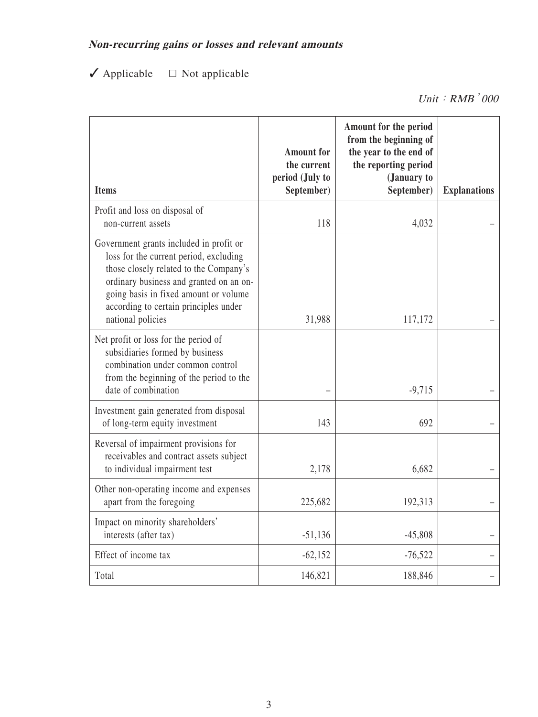# **Non-recurring gains or losses and relevant amounts**

✓ Applicable □ Not applicable

Unit: RMB<sup>'000</sup>

| <b>Items</b>                                                                                                                                                                                                                                                                  | <b>Amount</b> for<br>the current<br>period (July to<br>September) | Amount for the period<br>from the beginning of<br>the year to the end of<br>the reporting period<br>(January to<br>September) | <b>Explanations</b> |
|-------------------------------------------------------------------------------------------------------------------------------------------------------------------------------------------------------------------------------------------------------------------------------|-------------------------------------------------------------------|-------------------------------------------------------------------------------------------------------------------------------|---------------------|
| Profit and loss on disposal of<br>non-current assets                                                                                                                                                                                                                          | 118                                                               | 4,032                                                                                                                         |                     |
| Government grants included in profit or<br>loss for the current period, excluding<br>those closely related to the Company's<br>ordinary business and granted on an on-<br>going basis in fixed amount or volume<br>according to certain principles under<br>national policies | 31,988                                                            | 117,172                                                                                                                       |                     |
| Net profit or loss for the period of<br>subsidiaries formed by business<br>combination under common control<br>from the beginning of the period to the<br>date of combination                                                                                                 |                                                                   | $-9,715$                                                                                                                      |                     |
| Investment gain generated from disposal<br>of long-term equity investment                                                                                                                                                                                                     | 143                                                               | 692                                                                                                                           |                     |
| Reversal of impairment provisions for<br>receivables and contract assets subject<br>to individual impairment test                                                                                                                                                             | 2,178                                                             | 6,682                                                                                                                         |                     |
| Other non-operating income and expenses<br>apart from the foregoing                                                                                                                                                                                                           | 225,682                                                           | 192,313                                                                                                                       |                     |
| Impact on minority shareholders'<br>interests (after tax)                                                                                                                                                                                                                     | $-51,136$                                                         | $-45,808$                                                                                                                     |                     |
| Effect of income tax                                                                                                                                                                                                                                                          | $-62,152$                                                         | $-76,522$                                                                                                                     |                     |
| Total                                                                                                                                                                                                                                                                         | 146,821                                                           | 188,846                                                                                                                       |                     |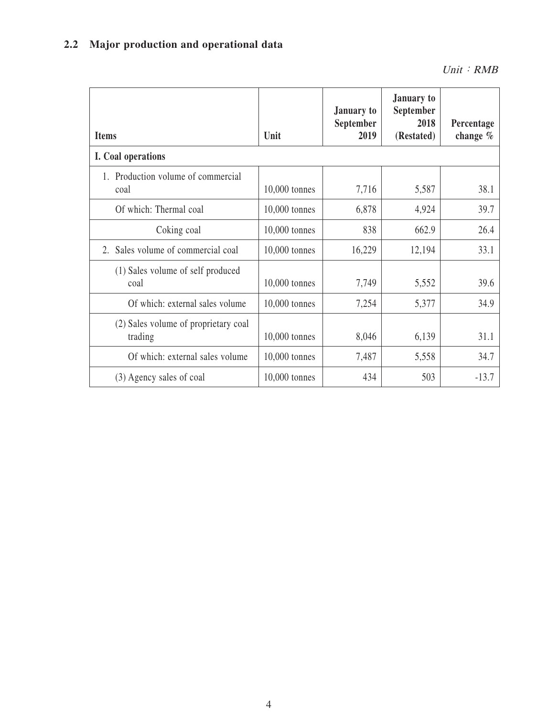# **2.2 Major production and operational data**

| <b>Items</b>                                    | Unit            | January to<br>September<br>2019 | <b>January</b> to<br>September<br>2018<br>(Restated) | Percentage<br>change $%$ |
|-------------------------------------------------|-----------------|---------------------------------|------------------------------------------------------|--------------------------|
| I. Coal operations                              |                 |                                 |                                                      |                          |
| 1. Production volume of commercial<br>coal      | $10,000$ tonnes | 7,716                           | 5,587                                                | 38.1                     |
| Of which: Thermal coal                          | $10,000$ tonnes | 6,878                           | 4,924                                                | 39.7                     |
| Coking coal                                     | $10,000$ tonnes | 838                             | 662.9                                                | 26.4                     |
| Sales volume of commercial coal<br>$2^{\circ}$  | 10,000 tonnes   | 16,229                          | 12,194                                               | 33.1                     |
| (1) Sales volume of self produced<br>coal       | $10,000$ tonnes | 7,749                           | 5,552                                                | 39.6                     |
| Of which: external sales volume                 | $10,000$ tonnes | 7,254                           | 5,377                                                | 34.9                     |
| (2) Sales volume of proprietary coal<br>trading | 10,000 tonnes   | 8,046                           | 6,139                                                | 31.1                     |
| Of which: external sales volume                 | $10,000$ tonnes | 7,487                           | 5,558                                                | 34.7                     |
| (3) Agency sales of coal                        | 10,000 tonnes   | 434                             | 503                                                  | $-13.7$                  |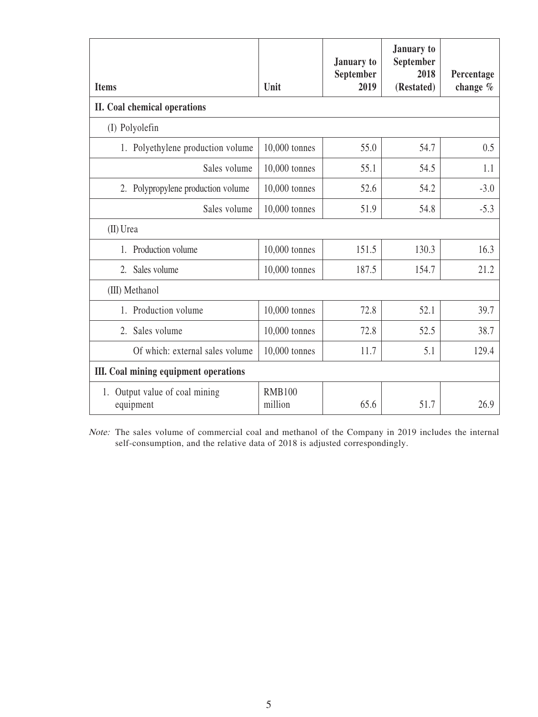| <b>Items</b>                                | Unit                     | January to<br>September<br>2019 | January to<br>September<br>2018<br>(Restated) | Percentage<br>change $%$ |
|---------------------------------------------|--------------------------|---------------------------------|-----------------------------------------------|--------------------------|
| II. Coal chemical operations                |                          |                                 |                                               |                          |
| (I) Polyolefin                              |                          |                                 |                                               |                          |
| 1. Polyethylene production volume           | 10,000 tonnes            | 55.0                            | 54.7                                          | 0.5                      |
| Sales volume                                | 10,000 tonnes            | 55.1                            | 54.5                                          | 1.1                      |
| 2. Polypropylene production volume          | 10,000 tonnes            | 52.6                            | 54.2                                          | $-3.0$                   |
| Sales volume                                | 10,000 tonnes            | 51.9                            | 54.8                                          | $-5.3$                   |
| (II) Urea                                   |                          |                                 |                                               |                          |
| Production volume<br>1.                     | 10,000 tonnes            | 151.5                           | 130.3                                         | 16.3                     |
| Sales volume<br>2.                          | 10,000 tonnes            | 187.5                           | 154.7                                         | 21.2                     |
| (III) Methanol                              |                          |                                 |                                               |                          |
| 1. Production volume                        | 10,000 tonnes            | 72.8                            | 52.1                                          | 39.7                     |
| 2. Sales volume                             | 10,000 tonnes            | 72.8                            | 52.5                                          | 38.7                     |
| Of which: external sales volume             | 10,000 tonnes            | 11.7                            | 5.1                                           | 129.4                    |
| III. Coal mining equipment operations       |                          |                                 |                                               |                          |
| 1. Output value of coal mining<br>equipment | <b>RMB100</b><br>million | 65.6                            | 51.7                                          | 26.9                     |

Note: The sales volume of commercial coal and methanol of the Company in 2019 includes the internal self-consumption, and the relative data of 2018 is adjusted correspondingly.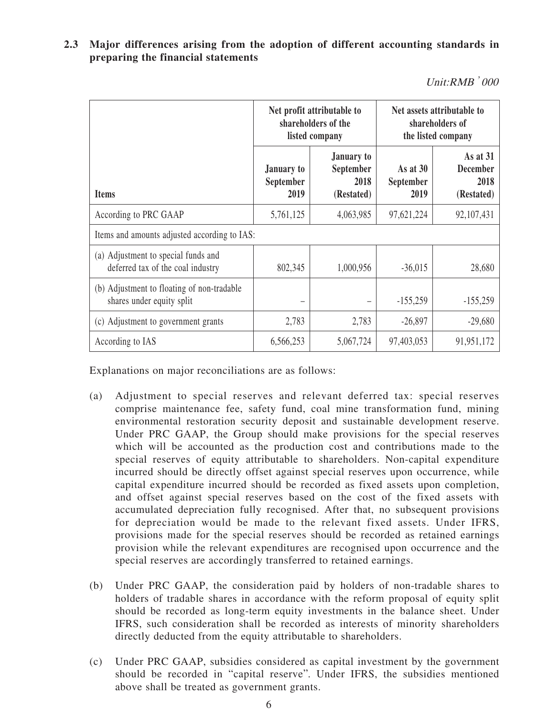**2.3 Major differences arising from the adoption of different accounting standards in preparing the financial statements**

Unit:RMB'000

|                                                                          |                                        | Net profit attributable to<br>shareholders of the<br>listed company |                                 | Net assets attributable to<br>shareholders of<br>the listed company |
|--------------------------------------------------------------------------|----------------------------------------|---------------------------------------------------------------------|---------------------------------|---------------------------------------------------------------------|
| <b>Items</b>                                                             | January to<br><b>September</b><br>2019 | <b>January to</b><br>September<br>2018<br>(Restated)                | As at $30$<br>September<br>2019 | As at 31<br><b>December</b><br>2018<br>(Restated)                   |
| According to PRC GAAP                                                    | 5,761,125                              | 4,063,985                                                           | 97,621,224                      | 92,107,431                                                          |
| Items and amounts adjusted according to IAS:                             |                                        |                                                                     |                                 |                                                                     |
| (a) Adjustment to special funds and<br>deferred tax of the coal industry | 802,345                                | 1,000,956                                                           | $-36,015$                       | 28,680                                                              |
| (b) Adjustment to floating of non-tradable<br>shares under equity split  |                                        |                                                                     | $-155,259$                      | $-155,259$                                                          |
| (c) Adjustment to government grants                                      | 2,783                                  | 2,783                                                               | $-26,897$                       | $-29,680$                                                           |
| According to IAS                                                         | 6,566,253                              | 5,067,724                                                           | 97,403,053                      | 91,951,172                                                          |

Explanations on major reconciliations are as follows:

- (a) Adjustment to special reserves and relevant deferred tax: special reserves comprise maintenance fee, safety fund, coal mine transformation fund, mining environmental restoration security deposit and sustainable development reserve. Under PRC GAAP, the Group should make provisions for the special reserves which will be accounted as the production cost and contributions made to the special reserves of equity attributable to shareholders. Non-capital expenditure incurred should be directly offset against special reserves upon occurrence, while capital expenditure incurred should be recorded as fixed assets upon completion, and offset against special reserves based on the cost of the fixed assets with accumulated depreciation fully recognised. After that, no subsequent provisions for depreciation would be made to the relevant fixed assets. Under IFRS, provisions made for the special reserves should be recorded as retained earnings provision while the relevant expenditures are recognised upon occurrence and the special reserves are accordingly transferred to retained earnings.
- (b) Under PRC GAAP, the consideration paid by holders of non-tradable shares to holders of tradable shares in accordance with the reform proposal of equity split should be recorded as long-term equity investments in the balance sheet. Under IFRS, such consideration shall be recorded as interests of minority shareholders directly deducted from the equity attributable to shareholders.
- (c) Under PRC GAAP, subsidies considered as capital investment by the government should be recorded in "capital reserve". Under IFRS, the subsidies mentioned above shall be treated as government grants.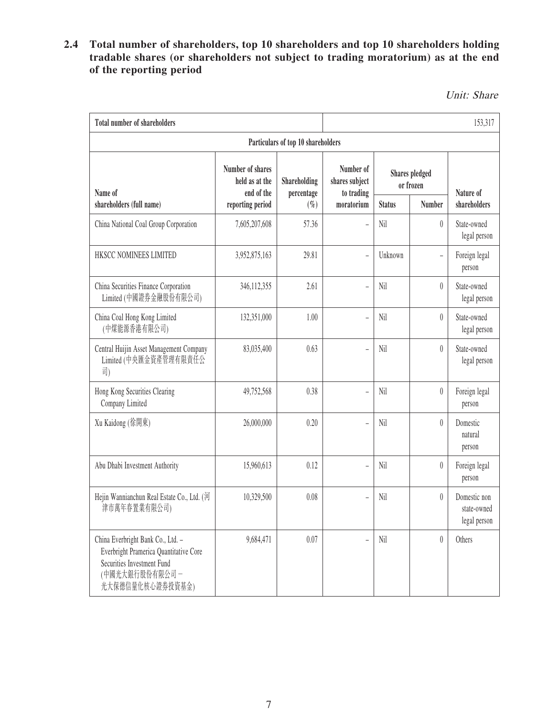## **2.4 Total number of shareholders, top 10 shareholders and top 10 shareholders holding tradable shares (or shareholders not subject to trading moratorium) as at the end of the reporting period**

Unit: Share

| <b>Total number of shareholders</b>                                                                                                             |                                                  |                                    |                                           | 153,317                            |                               |                                             |
|-------------------------------------------------------------------------------------------------------------------------------------------------|--------------------------------------------------|------------------------------------|-------------------------------------------|------------------------------------|-------------------------------|---------------------------------------------|
|                                                                                                                                                 |                                                  | Particulars of top 10 shareholders |                                           |                                    |                               |                                             |
| Name of                                                                                                                                         | Number of shares<br>held as at the<br>end of the | Shareholding<br>percentage         | Number of<br>shares subject<br>to trading | <b>Shares</b> pledged<br>or frozen |                               | Nature of                                   |
| shareholders (full name)                                                                                                                        | reporting period                                 | $(\% )$                            | moratorium                                | <b>Status</b>                      | <b>Number</b>                 | shareholders                                |
| China National Coal Group Corporation                                                                                                           | 7,605,207,608                                    | 57.36                              |                                           | Nil                                | $\theta$                      | State-owned<br>legal person                 |
| HKSCC NOMINEES LIMITED                                                                                                                          | 3,952,875,163                                    | 29.81                              | $\overline{a}$                            | Unknown                            | $\overline{a}$                | Foreign legal<br>person                     |
| China Securities Finance Corporation<br>Limited (中國證券金融股份有限公司)                                                                                  | 346,112,355                                      | 2.61                               | $\overline{a}$                            | Nil                                | $\theta$                      | State-owned<br>legal person                 |
| China Coal Hong Kong Limited<br>(中煤能源香港有限公司)                                                                                                    | 132,351,000                                      | 1.00                               | $\overline{a}$                            | Nil                                | $\theta$                      | State-owned<br>legal person                 |
| Central Huijin Asset Management Company<br>Limited (中央匯金資產管理有限責任公<br>司)                                                                         | 83,035,400                                       | 0.63                               | $\overline{\phantom{0}}$                  | Nil                                | $\theta$                      | State-owned<br>legal person                 |
| Hong Kong Securities Clearing<br>Company Limited                                                                                                | 49,752,568                                       | 0.38                               |                                           | Nil                                | $\begin{matrix} \end{matrix}$ | Foreign legal<br>person                     |
| Xu Kaidong (徐開東)                                                                                                                                | 26,000,000                                       | 0.20                               |                                           | Nil                                | $\theta$                      | Domestic<br>natural<br>person               |
| Abu Dhabi Investment Authority                                                                                                                  | 15,960,613                                       | 0.12                               | $\overline{\phantom{a}}$                  | Nil                                | $\theta$                      | Foreign legal<br>person                     |
| Hejin Wannianchun Real Estate Co., Ltd. (河<br>津市萬年春置業有限公司)                                                                                      | 10,329,500                                       | 0.08                               | $\overline{a}$                            | Nil                                | $\theta$                      | Domestic non<br>state-owned<br>legal person |
| China Everbright Bank Co., Ltd. -<br>Everbright Pramerica Quantitative Core<br>Securities Investment Fund<br>(中國光大銀行股份有限公司-<br>光大保德信量化核心證券投資基金) | 9,684,471                                        | 0.07                               | $\overline{a}$                            | Nil                                | $\theta$                      | Others                                      |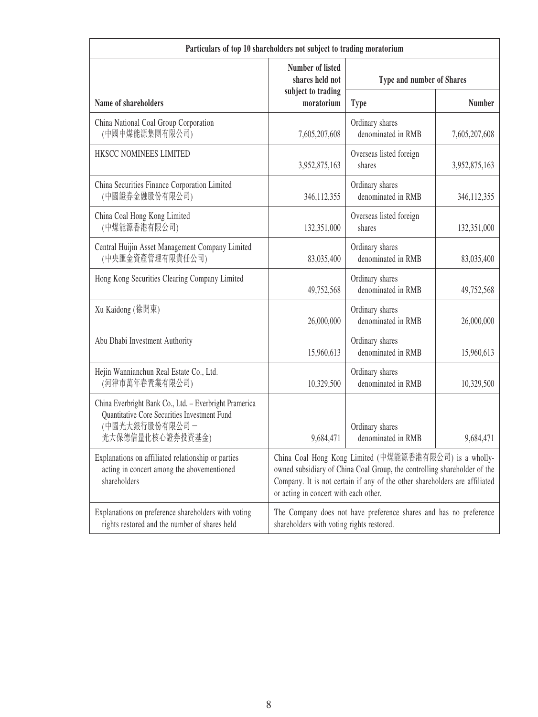| Particulars of top 10 shareholders not subject to trading moratorium                                                                         |                                                                                                                                                                                                                                                           |                                                                   |               |  |
|----------------------------------------------------------------------------------------------------------------------------------------------|-----------------------------------------------------------------------------------------------------------------------------------------------------------------------------------------------------------------------------------------------------------|-------------------------------------------------------------------|---------------|--|
|                                                                                                                                              | <b>Number of listed</b><br>shares held not                                                                                                                                                                                                                | Type and number of Shares                                         |               |  |
| Name of shareholders                                                                                                                         | subject to trading<br>moratorium                                                                                                                                                                                                                          | <b>Type</b>                                                       | <b>Number</b> |  |
| China National Coal Group Corporation<br>(中國中煤能源集團有限公司)                                                                                      | 7,605,207,608                                                                                                                                                                                                                                             | Ordinary shares<br>denominated in RMB                             | 7,605,207,608 |  |
| HKSCC NOMINEES LIMITED                                                                                                                       | 3,952,875,163                                                                                                                                                                                                                                             | Overseas listed foreign<br>shares                                 | 3,952,875,163 |  |
| China Securities Finance Corporation Limited<br>(中國證券金融股份有限公司)                                                                               | 346, 112, 355                                                                                                                                                                                                                                             | Ordinary shares<br>denominated in RMB                             | 346, 112, 355 |  |
| China Coal Hong Kong Limited<br>(中煤能源香港有限公司)                                                                                                 | 132,351,000                                                                                                                                                                                                                                               | Overseas listed foreign<br>shares                                 | 132,351,000   |  |
| Central Huijin Asset Management Company Limited<br>(中央匯金資產管理有限責任公司)                                                                          | 83,035,400                                                                                                                                                                                                                                                | Ordinary shares<br>denominated in RMB                             | 83,035,400    |  |
| Hong Kong Securities Clearing Company Limited                                                                                                | 49,752,568                                                                                                                                                                                                                                                | Ordinary shares<br>denominated in RMB                             | 49,752,568    |  |
| Xu Kaidong (徐開東)                                                                                                                             | 26,000,000                                                                                                                                                                                                                                                | Ordinary shares<br>denominated in RMB                             | 26,000,000    |  |
| Abu Dhabi Investment Authority                                                                                                               | 15,960,613                                                                                                                                                                                                                                                | Ordinary shares<br>denominated in RMB                             | 15,960,613    |  |
| Hejin Wannianchun Real Estate Co., Ltd.<br>(河津市萬年春置業有限公司)                                                                                    | 10,329,500                                                                                                                                                                                                                                                | Ordinary shares<br>denominated in RMB                             | 10,329,500    |  |
| China Everbright Bank Co., Ltd. - Everbright Pramerica<br>Quantitative Core Securities Investment Fund<br>(中國光大銀行股份有限公司-<br>光大保德信量化核心證券投資基金) | 9,684,471                                                                                                                                                                                                                                                 | Ordinary shares<br>denominated in RMB                             | 9,684,471     |  |
| Explanations on affiliated relationship or parties<br>acting in concert among the abovementioned<br>shareholders                             | China Coal Hong Kong Limited (中煤能源香港有限公司) is a wholly-<br>owned subsidiary of China Coal Group, the controlling shareholder of the<br>Company. It is not certain if any of the other shareholders are affiliated<br>or acting in concert with each other. |                                                                   |               |  |
| Explanations on preference shareholders with voting<br>rights restored and the number of shares held                                         | shareholders with voting rights restored.                                                                                                                                                                                                                 | The Company does not have preference shares and has no preference |               |  |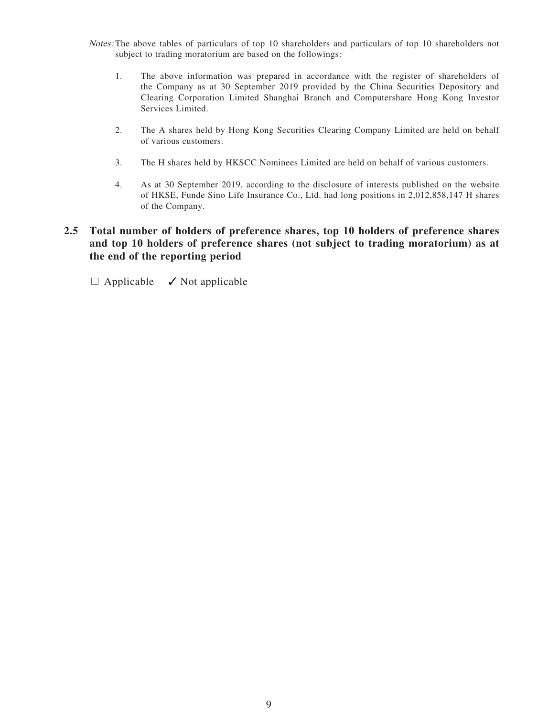- Notes: The above tables of particulars of top 10 shareholders and particulars of top 10 shareholders not subject to trading moratorium are based on the followings:
	- 1. The above information was prepared in accordance with the register of shareholders of the Company as at 30 September 2019 provided by the China Securities Depository and Clearing Corporation Limited Shanghai Branch and Computershare Hong Kong Investor Services Limited.
	- 2. The A shares held by Hong Kong Securities Clearing Company Limited are held on behalf of various customers.
	- 3. The H shares held by HKSCC Nominees Limited are held on behalf of various customers.
	- 4. As at 30 September 2019, according to the disclosure of interests published on the website of HKSE, Funde Sino Life Insurance Co., Ltd. had long positions in 2,012,858,147 H shares of the Company.

### **2.5 Total number of holders of preference shares, top 10 holders of preference shares and top 10 holders of preference shares (not subject to trading moratorium) as at the end of the reporting period**

 $\Box$  Applicable  $\checkmark$  Not applicable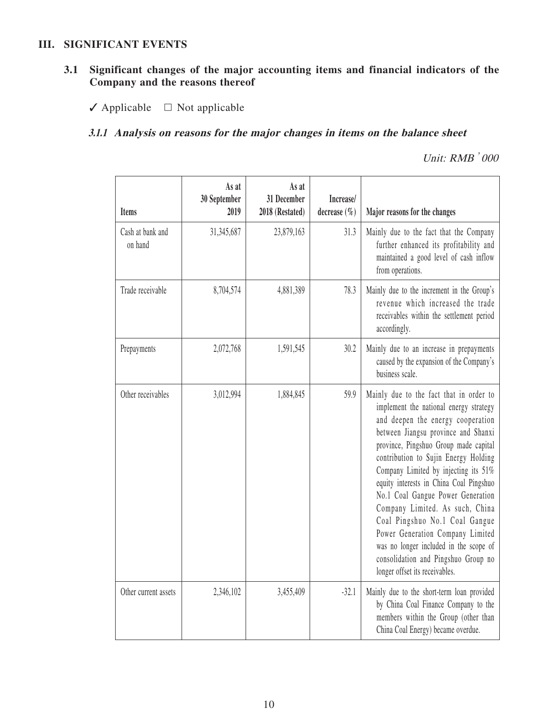#### **III. SIGNIFICANT EVENTS**

## **3.1 Significant changes of the major accounting items and financial indicators of the Company and the reasons thereof**

✓ Applicable □ Not applicable

## **3.1.1 Analysis on reasons for the major changes in items on the balance sheet**

| <b>Items</b>                | As at<br>30 September<br>2019 | As at<br>31 December<br>2018 (Restated) | Increase/<br>decrease $(\% )$ | Major reasons for the changes                                                                                                                                                                                                                                                                                                                                                                                                                                                                                                                                                                      |
|-----------------------------|-------------------------------|-----------------------------------------|-------------------------------|----------------------------------------------------------------------------------------------------------------------------------------------------------------------------------------------------------------------------------------------------------------------------------------------------------------------------------------------------------------------------------------------------------------------------------------------------------------------------------------------------------------------------------------------------------------------------------------------------|
| Cash at bank and<br>on hand | 31,345,687                    | 23,879,163                              | 31.3                          | Mainly due to the fact that the Company<br>further enhanced its profitability and<br>maintained a good level of cash inflow<br>from operations.                                                                                                                                                                                                                                                                                                                                                                                                                                                    |
| Trade receivable            | 8,704,574                     | 4,881,389                               | 78.3                          | Mainly due to the increment in the Group's<br>revenue which increased the trade<br>receivables within the settlement period<br>accordingly.                                                                                                                                                                                                                                                                                                                                                                                                                                                        |
| Prepayments                 | 2,072,768                     | 1,591,545                               | 30.2                          | Mainly due to an increase in prepayments<br>caused by the expansion of the Company's<br>business scale.                                                                                                                                                                                                                                                                                                                                                                                                                                                                                            |
| Other receivables           | 3,012,994                     | 1,884,845                               | 59.9                          | Mainly due to the fact that in order to<br>implement the national energy strategy<br>and deepen the energy cooperation<br>between Jiangsu province and Shanxi<br>province, Pingshuo Group made capital<br>contribution to Sujin Energy Holding<br>Company Limited by injecting its 51%<br>equity interests in China Coal Pingshuo<br>No.1 Coal Gangue Power Generation<br>Company Limited. As such, China<br>Coal Pingshuo No.1 Coal Gangue<br>Power Generation Company Limited<br>was no longer included in the scope of<br>consolidation and Pingshuo Group no<br>longer offset its receivables. |
| Other current assets        | 2,346,102                     | 3,455,409                               | $-32.1$                       | Mainly due to the short-term loan provided<br>by China Coal Finance Company to the<br>members within the Group (other than<br>China Coal Energy) became overdue.                                                                                                                                                                                                                                                                                                                                                                                                                                   |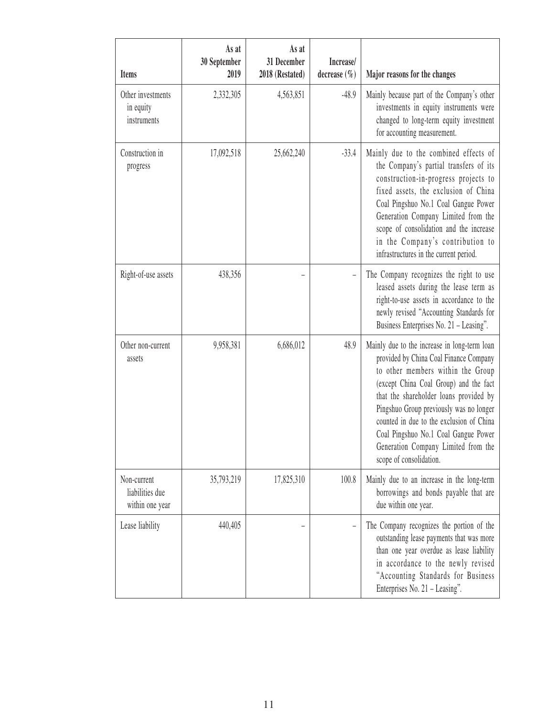| Items                                             | As at<br>30 September<br>2019 | As at<br>31 December<br>2018 (Restated) | Increase/<br>decrease $(\% )$ | Major reasons for the changes                                                                                                                                                                                                                                                                                                                                                                                    |
|---------------------------------------------------|-------------------------------|-----------------------------------------|-------------------------------|------------------------------------------------------------------------------------------------------------------------------------------------------------------------------------------------------------------------------------------------------------------------------------------------------------------------------------------------------------------------------------------------------------------|
| Other investments<br>in equity<br>instruments     | 2,332,305                     | 4,563,851                               | $-48.9$                       | Mainly because part of the Company's other<br>investments in equity instruments were<br>changed to long-term equity investment<br>for accounting measurement.                                                                                                                                                                                                                                                    |
| Construction in<br>progress                       | 17,092,518                    | 25,662,240                              | $-33.4$                       | Mainly due to the combined effects of<br>the Company's partial transfers of its<br>construction-in-progress projects to<br>fixed assets, the exclusion of China<br>Coal Pingshuo No.1 Coal Gangue Power<br>Generation Company Limited from the<br>scope of consolidation and the increase<br>in the Company's contribution to<br>infrastructures in the current period.                                          |
| Right-of-use assets                               | 438,356                       |                                         |                               | The Company recognizes the right to use<br>leased assets during the lease term as<br>right-to-use assets in accordance to the<br>newly revised "Accounting Standards for<br>Business Enterprises No. 21 - Leasing".                                                                                                                                                                                              |
| Other non-current<br>assets                       | 9,958,381                     | 6,686,012                               | 48.9                          | Mainly due to the increase in long-term loan<br>provided by China Coal Finance Company<br>to other members within the Group<br>(except China Coal Group) and the fact<br>that the shareholder loans provided by<br>Pingshuo Group previously was no longer<br>counted in due to the exclusion of China<br>Coal Pingshuo No.1 Coal Gangue Power<br>Generation Company Limited from the<br>scope of consolidation. |
| Non-current<br>liabilities due<br>within one year | 35,793,219                    | 17,825,310                              | 100.8                         | Mainly due to an increase in the long-term<br>borrowings and bonds payable that are<br>due within one year.                                                                                                                                                                                                                                                                                                      |
| Lease liability                                   | 440,405                       |                                         |                               | The Company recognizes the portion of the<br>outstanding lease payments that was more<br>than one year overdue as lease liability<br>in accordance to the newly revised<br>"Accounting Standards for Business<br>Enterprises No. 21 - Leasing".                                                                                                                                                                  |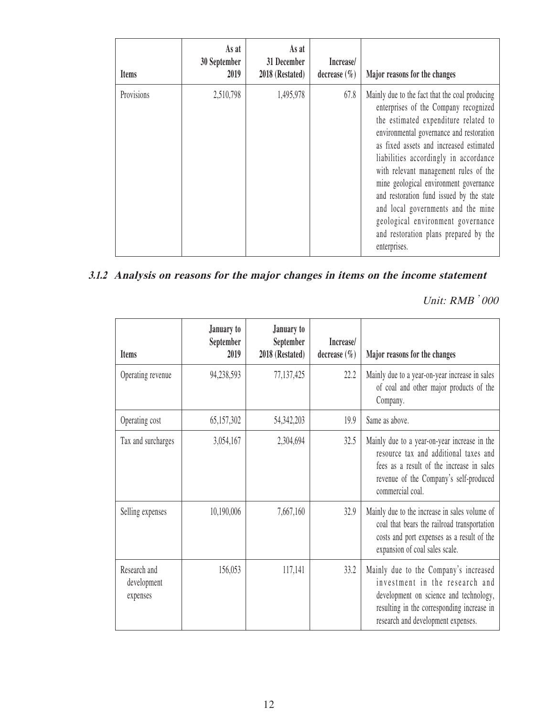| <b>Items</b> | As at<br>30 September<br>2019 | As at<br>31 December<br>2018 (Restated) | Increase/<br>decrease $(\% )$ | Major reasons for the changes                                                                                                                                                                                                                                                                                                                                                                                                                                                                                                      |
|--------------|-------------------------------|-----------------------------------------|-------------------------------|------------------------------------------------------------------------------------------------------------------------------------------------------------------------------------------------------------------------------------------------------------------------------------------------------------------------------------------------------------------------------------------------------------------------------------------------------------------------------------------------------------------------------------|
| Provisions   | 2,510,798                     | 1,495,978                               | 67.8                          | Mainly due to the fact that the coal producing<br>enterprises of the Company recognized<br>the estimated expenditure related to<br>environmental governance and restoration<br>as fixed assets and increased estimated<br>liabilities accordingly in accordance<br>with relevant management rules of the<br>mine geological environment governance<br>and restoration fund issued by the state<br>and local governments and the mine<br>geological environment governance<br>and restoration plans prepared by the<br>enterprises. |

# **3.1.2 Analysis on reasons for the major changes in items on the income statement**

| <b>Items</b>                            | January to<br>September<br>2019 | January to<br>September<br>2018 (Restated) | Increase/<br>decrease $(\% )$ | Major reasons for the changes                                                                                                                                                                         |
|-----------------------------------------|---------------------------------|--------------------------------------------|-------------------------------|-------------------------------------------------------------------------------------------------------------------------------------------------------------------------------------------------------|
| Operating revenue                       | 94,238,593                      | 77,137,425                                 | 22.2                          | Mainly due to a year-on-year increase in sales<br>of coal and other major products of the<br>Company.                                                                                                 |
| Operating cost                          | 65,157,302                      | 54, 342, 203                               | 19.9                          | Same as above.                                                                                                                                                                                        |
| Tax and surcharges                      | 3,054,167                       | 2,304,694                                  | 32.5                          | Mainly due to a year-on-year increase in the<br>resource tax and additional taxes and<br>fees as a result of the increase in sales<br>revenue of the Company's self-produced<br>commercial coal.      |
| Selling expenses                        | 10,190,006                      | 7,667,160                                  | 32.9                          | Mainly due to the increase in sales volume of<br>coal that bears the railroad transportation<br>costs and port expenses as a result of the<br>expansion of coal sales scale.                          |
| Research and<br>development<br>expenses | 156,053                         | 117,141                                    | 33.2                          | Mainly due to the Company's increased<br>investment in the research and<br>development on science and technology,<br>resulting in the corresponding increase in<br>research and development expenses. |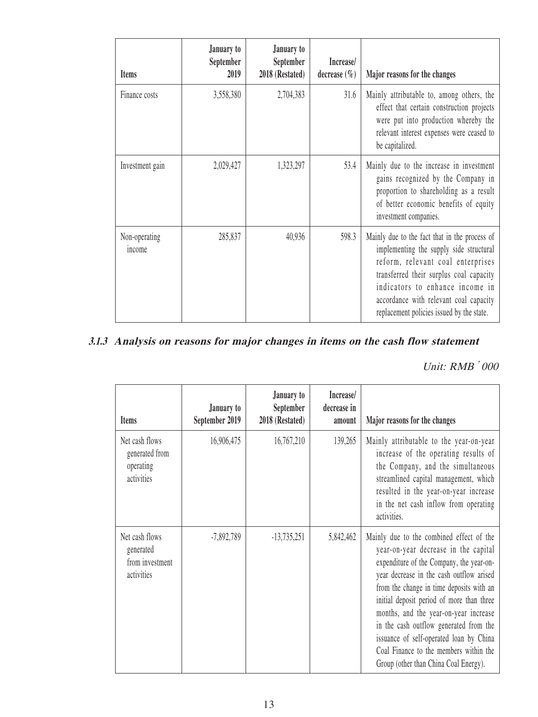| <b>Items</b>            | January to<br>September<br>2019 | January to<br>September<br>2018 (Restated) | Increase/<br>decrease $(\% )$ | Major reasons for the changes                                                                                                                                                                                                                                                                      |
|-------------------------|---------------------------------|--------------------------------------------|-------------------------------|----------------------------------------------------------------------------------------------------------------------------------------------------------------------------------------------------------------------------------------------------------------------------------------------------|
| Finance costs           | 3,558,380                       | 2,704,383                                  | 31.6                          | Mainly attributable to, among others, the<br>effect that certain construction projects<br>were put into production whereby the<br>relevant interest expenses were ceased to<br>be capitalized.                                                                                                     |
| Investment gain         | 2,029,427                       | 1,323,297                                  | 53.4                          | Mainly due to the increase in investment<br>gains recognized by the Company in<br>proportion to shareholding as a result<br>of better economic benefits of equity<br>investment companies.                                                                                                         |
| Non-operating<br>income | 285,837                         | 40,936                                     | 598.3                         | Mainly due to the fact that in the process of<br>implementing the supply side structural<br>reform, relevant coal enterprises<br>transferred their surplus coal capacity<br>indicators to enhance income in<br>accordance with relevant coal capacity<br>replacement policies issued by the state. |

## **3.1.3 Analysis on reasons for major changes in items on the cash flow statement**

| <b>Items</b>                                                 | January to<br>September 2019 | January to<br>September<br>2018 (Restated) | Increase/<br>decrease in<br>amount | Major reasons for the changes                                                                                                                                                                                                                                                                                                                                                                                                                                                      |
|--------------------------------------------------------------|------------------------------|--------------------------------------------|------------------------------------|------------------------------------------------------------------------------------------------------------------------------------------------------------------------------------------------------------------------------------------------------------------------------------------------------------------------------------------------------------------------------------------------------------------------------------------------------------------------------------|
| Net cash flows<br>generated from<br>operating<br>activities  | 16,906,475                   | 16,767,210                                 | 139,265                            | Mainly attributable to the year-on-year<br>increase of the operating results of<br>the Company, and the simultaneous<br>streamlined capital management, which<br>resulted in the year-on-year increase<br>in the net cash inflow from operating<br>activities.                                                                                                                                                                                                                     |
| Net cash flows<br>generated<br>from investment<br>activities | $-7,892,789$                 | $-13,735,251$                              | 5,842,462                          | Mainly due to the combined effect of the<br>year-on-year decrease in the capital<br>expenditure of the Company, the year-on-<br>year decrease in the cash outflow arised<br>from the change in time deposits with an<br>initial deposit period of more than three<br>months, and the year-on-year increase<br>in the cash outflow generated from the<br>issuance of self-operated loan by China<br>Coal Finance to the members within the<br>Group (other than China Coal Energy). |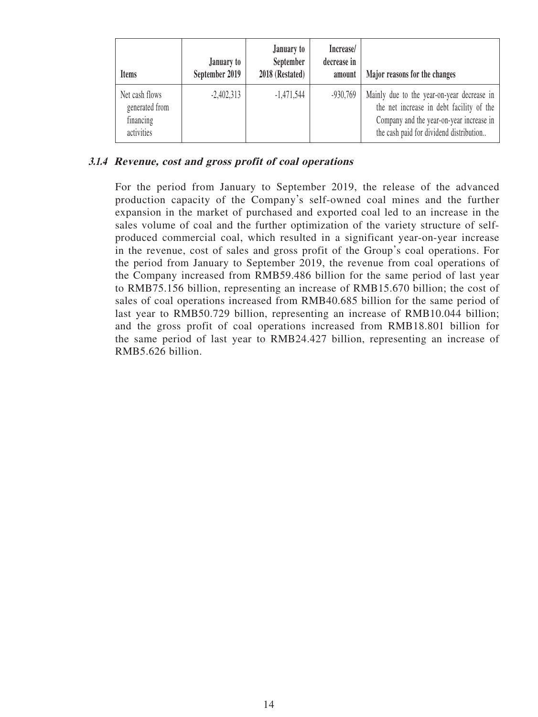| <b>Items</b>                                                | January to<br>September 2019 | January to<br>September<br>2018 (Restated) | Increase/<br>decrease in<br>amount | Major reasons for the changes                                                                                                                                                 |
|-------------------------------------------------------------|------------------------------|--------------------------------------------|------------------------------------|-------------------------------------------------------------------------------------------------------------------------------------------------------------------------------|
| Net cash flows<br>generated from<br>financing<br>activities | $-2,402,313$                 | $-1,471,544$                               | $-930,769$                         | Mainly due to the year-on-year decrease in<br>the net increase in debt facility of the<br>Company and the year-on-year increase in<br>the cash paid for dividend distribution |

### **3.1.4 Revenue, cost and gross profit of coal operations**

For the period from January to September 2019, the release of the advanced production capacity of the Company's self-owned coal mines and the further expansion in the market of purchased and exported coal led to an increase in the sales volume of coal and the further optimization of the variety structure of selfproduced commercial coal, which resulted in a significant year-on-year increase in the revenue, cost of sales and gross profit of the Group's coal operations. For the period from January to September 2019, the revenue from coal operations of the Company increased from RMB59.486 billion for the same period of last year to RMB75.156 billion, representing an increase of RMB15.670 billion; the cost of sales of coal operations increased from RMB40.685 billion for the same period of last year to RMB50.729 billion, representing an increase of RMB10.044 billion; and the gross profit of coal operations increased from RMB18.801 billion for the same period of last year to RMB24.427 billion, representing an increase of RMB5.626 billion.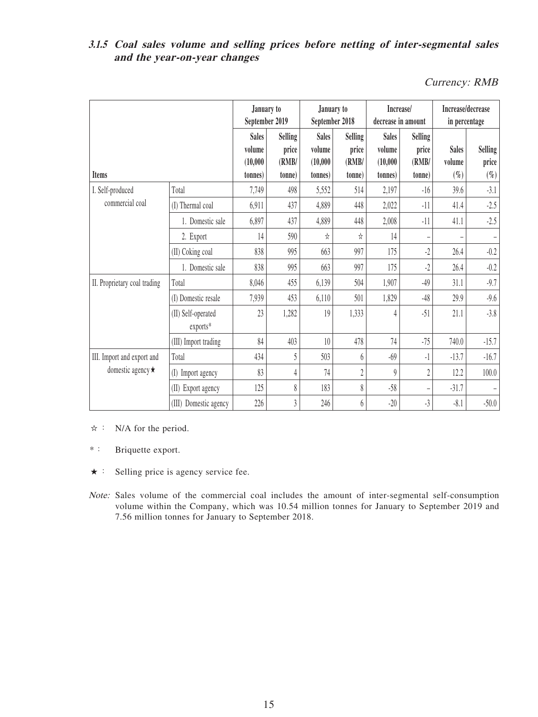## **3.1.5 Coal sales volume and selling prices before netting of inter-segmental sales and the year-on-year changes**

Currency: RMB

| <b>Items</b>                 |                                | January to<br>September 2019                  |                                            | January to<br>September 2018                   |                                            | Increase/<br>decrease in amount                |                                            | Increase/decrease<br>in percentage |                                   |
|------------------------------|--------------------------------|-----------------------------------------------|--------------------------------------------|------------------------------------------------|--------------------------------------------|------------------------------------------------|--------------------------------------------|------------------------------------|-----------------------------------|
|                              |                                | <b>Sales</b><br>volume<br>(10,000)<br>tonnes) | <b>Selling</b><br>price<br>(RMB/<br>(tonne | <b>Sales</b><br>volume<br>(10,000)<br>(tonnes) | <b>Selling</b><br>price<br>(RMB/<br>(tonne | <b>Sales</b><br>volume<br>(10,000)<br>(tonnes) | <b>Selling</b><br>price<br>(RMB/<br>tonne) | <b>Sales</b><br>volume<br>$(\%)$   | <b>Selling</b><br>price<br>$(\%)$ |
| I. Self-produced             | Total                          | 7,749                                         | 498                                        | 5,552                                          | 514                                        | 2,197                                          | $-16$                                      | 39.6                               | $-3.1$                            |
| commercial coal              | (I) Thermal coal               | 6,911                                         | 437                                        | 4,889                                          | 448                                        | 2,022                                          | $-11$                                      | 41.4                               | $-2.5$                            |
|                              | 1. Domestic sale               | 6,897                                         | 437                                        | 4,889                                          | 448                                        | 2,008                                          | $-11$                                      | 41.1                               | $-2.5$                            |
|                              | 2. Export                      | 14                                            | 590                                        | ☆                                              | ☆                                          | 14                                             |                                            |                                    |                                   |
|                              | (II) Coking coal               | 838                                           | 995                                        | 663                                            | 997                                        | 175                                            | $-2$                                       | 26.4                               | $-0.2$                            |
|                              | 1. Domestic sale               | 838                                           | 995                                        | 663                                            | 997                                        | 175                                            | $-2$                                       | 26.4                               | $-0.2$                            |
| II. Proprietary coal trading | Total                          | 8,046                                         | 455                                        | 6,139                                          | 504                                        | 1,907                                          | $-49$                                      | 31.1                               | $-9.7$                            |
|                              | (I) Domestic resale            | 7,939                                         | 453                                        | 6,110                                          | 501                                        | 1,829                                          | $-48$                                      | 29.9                               | $-9.6$                            |
|                              | (II) Self-operated<br>exports* | 23                                            | 1,282                                      | 19                                             | 1,333                                      | 4                                              | $-51$                                      | 21.1                               | $-3.8$                            |
|                              | (III) Import trading           | 84                                            | 403                                        | 10                                             | 478                                        | 74                                             | $-75$                                      | 740.0                              | $-15.7$                           |
| III. Import and export and   | Total                          | 434                                           | 5                                          | 503                                            | 6                                          | $-69$                                          | -1                                         | $-13.7$                            | $-16.7$                           |
| domestic agency $\star$      | (I)<br>Import agency           | 83                                            | 4                                          | 74                                             | $\overline{2}$                             | $\boldsymbol{Q}$                               | $\overline{2}$                             | 12.2                               | 100.0                             |
|                              | (II) Export agency             | 125                                           | 8                                          | 183                                            | 8                                          | $-58$                                          |                                            | $-31.7$                            |                                   |
|                              | (III) Domestic agency          | 226                                           | 3                                          | 246                                            | 6                                          | $-20$                                          | $-3$                                       | $-8.1$                             | $-50.0$                           |

☆: N/A for the period.

\*: Briquette export.

- ★: Selling price is agency service fee.
- Note: Sales volume of the commercial coal includes the amount of inter-segmental self-consumption volume within the Company, which was 10.54 million tonnes for January to September 2019 and 7.56 million tonnes for January to September 2018.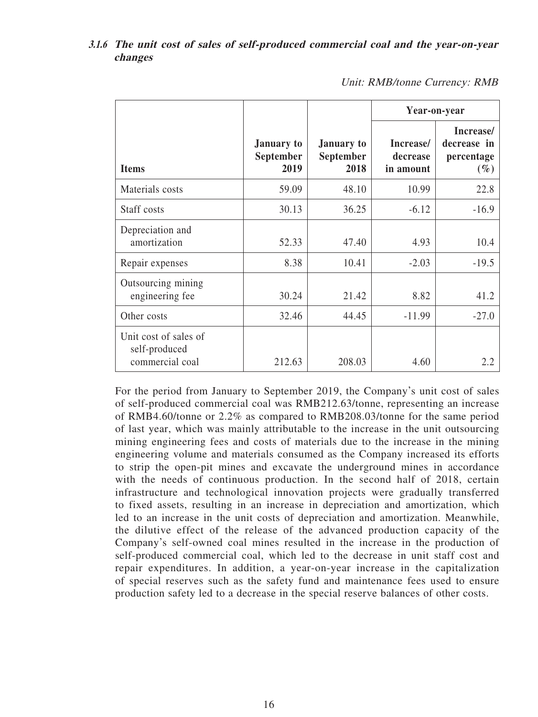#### **3.1.6 The unit cost of sales of self-produced commercial coal and the year-on-year changes**

|                                                           |                                        |                                 | Year-on-year                       |                                                  |
|-----------------------------------------------------------|----------------------------------------|---------------------------------|------------------------------------|--------------------------------------------------|
| <b>Items</b>                                              | <b>January</b> to<br>September<br>2019 | January to<br>September<br>2018 | Increase/<br>decrease<br>in amount | Increase/<br>decrease in<br>percentage<br>$(\%)$ |
| Materials costs                                           | 59.09                                  | 48.10                           | 10.99                              | 22.8                                             |
| Staff costs                                               | 30.13                                  | 36.25                           | $-6.12$                            | $-16.9$                                          |
| Depreciation and<br>amortization                          | 52.33                                  | 47.40                           | 4.93                               | 10.4                                             |
| Repair expenses                                           | 8.38                                   | 10.41                           | $-2.03$                            | $-19.5$                                          |
| Outsourcing mining<br>engineering fee                     | 30.24                                  | 21.42                           | 8.82                               | 41.2                                             |
| Other costs                                               | 32.46                                  | 44.45                           | $-11.99$                           | $-27.0$                                          |
| Unit cost of sales of<br>self-produced<br>commercial coal | 212.63                                 | 208.03                          | 4.60                               | 2.2                                              |

Unit: RMB/tonne Currency: RMB

For the period from January to September 2019, the Company's unit cost of sales of self-produced commercial coal was RMB212.63/tonne, representing an increase of RMB4.60/tonne or 2.2% as compared to RMB208.03/tonne for the same period of last year, which was mainly attributable to the increase in the unit outsourcing mining engineering fees and costs of materials due to the increase in the mining engineering volume and materials consumed as the Company increased its efforts to strip the open-pit mines and excavate the underground mines in accordance with the needs of continuous production. In the second half of 2018, certain infrastructure and technological innovation projects were gradually transferred to fixed assets, resulting in an increase in depreciation and amortization, which led to an increase in the unit costs of depreciation and amortization. Meanwhile, the dilutive effect of the release of the advanced production capacity of the Company's self-owned coal mines resulted in the increase in the production of self-produced commercial coal, which led to the decrease in unit staff cost and repair expenditures. In addition, a year-on-year increase in the capitalization of special reserves such as the safety fund and maintenance fees used to ensure production safety led to a decrease in the special reserve balances of other costs.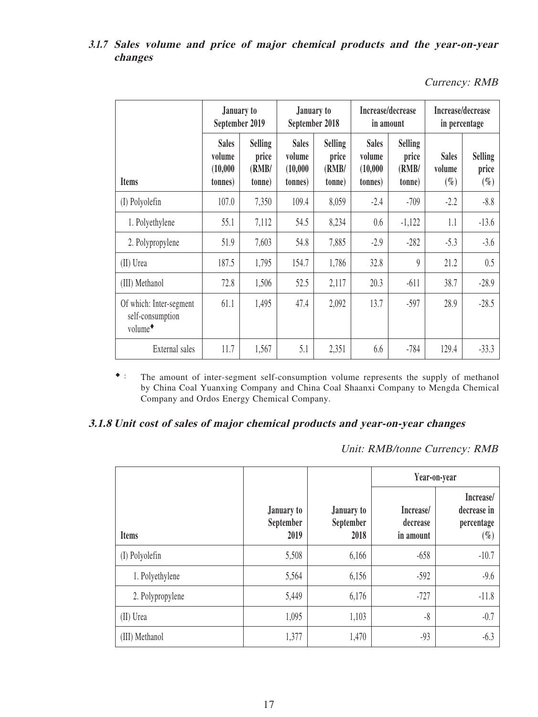### **3.1.7 Sales volume and price of major chemical products and the year-on-year changes**

Currency: RMB

|                                                                    | January to<br>September 2019                   |                                            | January to<br>September 2018                   |                                            | Increase/decrease<br>in amount                 |                                            | Increase/decrease<br>in percentage |                                   |
|--------------------------------------------------------------------|------------------------------------------------|--------------------------------------------|------------------------------------------------|--------------------------------------------|------------------------------------------------|--------------------------------------------|------------------------------------|-----------------------------------|
| <b>Items</b>                                                       | <b>Sales</b><br>volume<br>(10,000)<br>(tonnes) | <b>Selling</b><br>price<br>(RMB/<br>(tonne | <b>Sales</b><br>volume<br>(10,000)<br>(tonnes) | <b>Selling</b><br>price<br>(RMB/<br>(tonne | <b>Sales</b><br>volume<br>(10,000)<br>(tonnes) | <b>Selling</b><br>price<br>(RMB/<br>(tonne | <b>Sales</b><br>volume<br>$(\%)$   | <b>Selling</b><br>price<br>$(\%)$ |
| (I) Polyolefin                                                     | 107.0                                          | 7,350                                      | 109.4                                          | 8,059                                      | $-2.4$                                         | $-709$                                     | $-2.2$                             | $-8.8$                            |
| 1. Polyethylene                                                    | 55.1                                           | 7,112                                      | 54.5                                           | 8,234                                      | 0.6                                            | $-1,122$                                   | 1.1                                | $-13.6$                           |
| 2. Polypropylene                                                   | 51.9                                           | 7,603                                      | 54.8                                           | 7,885                                      | $-2.9$                                         | $-282$                                     | $-5.3$                             | $-3.6$                            |
| (II) Urea                                                          | 187.5                                          | 1,795                                      | 154.7                                          | 1,786                                      | 32.8                                           | $\theta$                                   | 21.2                               | 0.5                               |
| (III) Methanol                                                     | 72.8                                           | 1,506                                      | 52.5                                           | 2,117                                      | 20.3                                           | $-611$                                     | 38.7                               | $-28.9$                           |
| Of which: Inter-segment<br>self-consumption<br>volume <sup>+</sup> | 61.1                                           | 1,495                                      | 47.4                                           | 2,092                                      | 13.7                                           | $-597$                                     | 28.9                               | $-28.5$                           |
| External sales                                                     | 11.7                                           | 1,567                                      | 5.1                                            | 2,351                                      | 6.6                                            | $-784$                                     | 129.4                              | $-33.3$                           |

◆: The amount of inter-segment self-consumption volume represents the supply of methanol by China Coal Yuanxing Company and China Coal Shaanxi Company to Mengda Chemical Company and Ordos Energy Chemical Company.

## **3.1.8 Unit cost of sales of major chemical products and year-on-year changes**

Unit: RMB/tonne Currency: RMB

|                  |                                 |                                 |                                    | Year-on-year                                     |
|------------------|---------------------------------|---------------------------------|------------------------------------|--------------------------------------------------|
| <b>Items</b>     | January to<br>September<br>2019 | January to<br>September<br>2018 | Increase/<br>decrease<br>in amount | Increase/<br>decrease in<br>percentage<br>$(\%)$ |
| (I) Polyolefin   | 5,508                           | 6,166                           | $-658$                             | $-10.7$                                          |
| 1. Polyethylene  | 5,564                           | 6,156                           | $-592$                             | $-9.6$                                           |
| 2. Polypropylene | 5,449                           | 6,176                           | $-727$                             | $-11.8$                                          |
| (II) Urea        | 1,095                           | 1,103                           | $-8$                               | $-0.7$                                           |
| (III) Methanol   | 1,377                           | 1,470                           | $-93$                              | $-6.3$                                           |